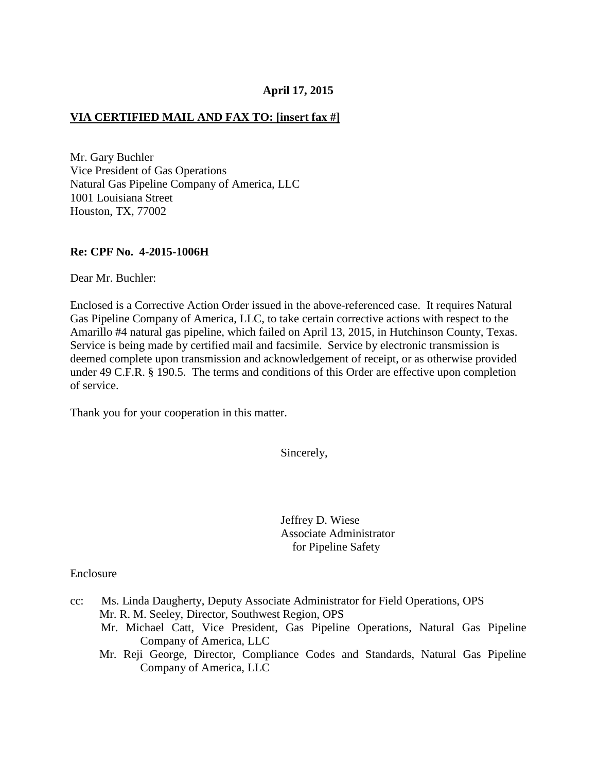## **April 17, 2015**

#### **VIA CERTIFIED MAIL AND FAX TO: [insert fax #]**

Mr. Gary Buchler Vice President of Gas Operations Natural Gas Pipeline Company of America, LLC 1001 Louisiana Street Houston, TX, 77002

#### **Re: CPF No. 4-2015-1006H**

Dear Mr. Buchler:

Enclosed is a Corrective Action Order issued in the above-referenced case. It requires Natural Gas Pipeline Company of America, LLC, to take certain corrective actions with respect to the Amarillo #4 natural gas pipeline, which failed on April 13, 2015, in Hutchinson County, Texas. Service is being made by certified mail and facsimile. Service by electronic transmission is deemed complete upon transmission and acknowledgement of receipt, or as otherwise provided under 49 C.F.R. § 190.5. The terms and conditions of this Order are effective upon completion of service.

Thank you for your cooperation in this matter.

Sincerely,

 Jeffrey D. Wiese Associate Administrator for Pipeline Safety

#### Enclosure

- cc: Ms. Linda Daugherty, Deputy Associate Administrator for Field Operations, OPS Mr. R. M. Seeley, Director, Southwest Region, OPS
	- Mr. Michael Catt, Vice President, Gas Pipeline Operations, Natural Gas Pipeline Company of America, LLC
	- Mr. Reji George, Director, Compliance Codes and Standards, Natural Gas Pipeline Company of America, LLC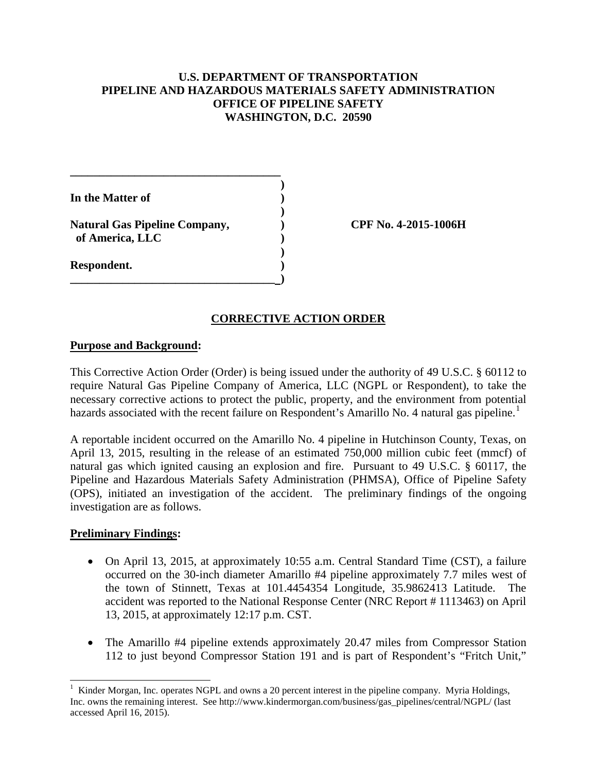## **U.S. DEPARTMENT OF TRANSPORTATION PIPELINE AND HAZARDOUS MATERIALS SAFETY ADMINISTRATION OFFICE OF PIPELINE SAFETY WASHINGTON, D.C. 20590**

**)** 

**In the Matter of )** 

 **)**  Natural Gas Pipeline Company,  $\qquad \qquad$  OPF No. 4-2015-1006H  **of America, LLC )** 

**\_\_\_\_\_\_\_\_\_\_\_\_\_\_\_\_\_\_\_\_\_\_\_\_\_\_\_\_\_\_\_\_\_\_\_\_** 

 **)** 

**\_\_\_\_\_\_\_\_\_\_\_\_\_\_\_\_\_\_\_\_\_\_\_\_\_\_\_\_\_\_\_\_\_\_\_ )** 

**Respondent. )** 

# **CORRECTIVE ACTION ORDER**

## **Purpose and Background:**

This Corrective Action Order (Order) is being issued under the authority of 49 U.S.C. § 60112 to require Natural Gas Pipeline Company of America, LLC (NGPL or Respondent), to take the necessary corrective actions to protect the public, property, and the environment from potential hazards associated with the recent failure on Respondent's Amarillo No. 4 natural gas pipeline.<sup>1</sup>

A reportable incident occurred on the Amarillo No. 4 pipeline in Hutchinson County, Texas, on April 13, 2015, resulting in the release of an estimated 750,000 million cubic feet (mmcf) of natural gas which ignited causing an explosion and fire. Pursuant to 49 U.S.C. § 60117, the Pipeline and Hazardous Materials Safety Administration (PHMSA), Office of Pipeline Safety (OPS), initiated an investigation of the accident. The preliminary findings of the ongoing investigation are as follows.

## **Preliminary Findings:**

- On April 13, 2015, at approximately 10:55 a.m. Central Standard Time (CST), a failure occurred on the 30-inch diameter Amarillo #4 pipeline approximately 7.7 miles west of the town of Stinnett, Texas at 101.4454354 Longitude, 35.9862413 Latitude. The accident was reported to the National Response Center (NRC Report # 1113463) on April 13, 2015, at approximately 12:17 p.m. CST.
- The Amarillo #4 pipeline extends approximately 20.47 miles from Compressor Station 112 to just beyond Compressor Station 191 and is part of Respondent's "Fritch Unit,"

 $\overline{a}$ 1 Kinder Morgan, Inc. operates NGPL and owns a 20 percent interest in the pipeline company. Myria Holdings, Inc. owns the remaining interest. See http://www.kindermorgan.com/business/gas\_pipelines/central/NGPL/ (last accessed April 16, 2015).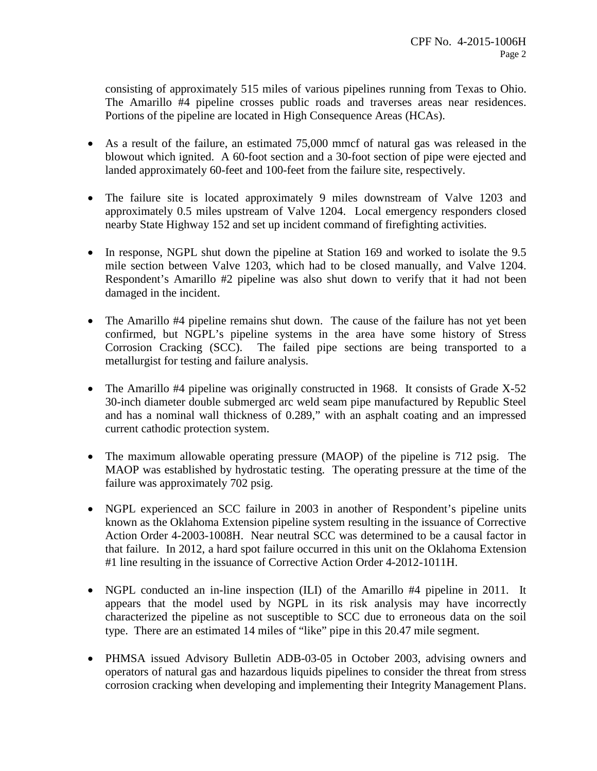consisting of approximately 515 miles of various pipelines running from Texas to Ohio. The Amarillo #4 pipeline crosses public roads and traverses areas near residences. Portions of the pipeline are located in High Consequence Areas (HCAs).

- As a result of the failure, an estimated 75,000 mmcf of natural gas was released in the blowout which ignited. A 60-foot section and a 30-foot section of pipe were ejected and landed approximately 60-feet and 100-feet from the failure site, respectively.
- The failure site is located approximately 9 miles downstream of Valve 1203 and approximately 0.5 miles upstream of Valve 1204. Local emergency responders closed nearby State Highway 152 and set up incident command of firefighting activities.
- In response, NGPL shut down the pipeline at Station 169 and worked to isolate the 9.5 mile section between Valve 1203, which had to be closed manually, and Valve 1204. Respondent's Amarillo #2 pipeline was also shut down to verify that it had not been damaged in the incident.
- The Amarillo #4 pipeline remains shut down. The cause of the failure has not yet been confirmed, but NGPL's pipeline systems in the area have some history of Stress Corrosion Cracking (SCC). The failed pipe sections are being transported to a metallurgist for testing and failure analysis.
- The Amarillo #4 pipeline was originally constructed in 1968. It consists of Grade X-52 30-inch diameter double submerged arc weld seam pipe manufactured by Republic Steel and has a nominal wall thickness of 0.289," with an asphalt coating and an impressed current cathodic protection system.
- The maximum allowable operating pressure (MAOP) of the pipeline is 712 psig. The MAOP was established by hydrostatic testing. The operating pressure at the time of the failure was approximately 702 psig.
- NGPL experienced an SCC failure in 2003 in another of Respondent's pipeline units known as the Oklahoma Extension pipeline system resulting in the issuance of Corrective Action Order 4-2003-1008H. Near neutral SCC was determined to be a causal factor in that failure. In 2012, a hard spot failure occurred in this unit on the Oklahoma Extension #1 line resulting in the issuance of Corrective Action Order 4-2012-1011H.
- NGPL conducted an in-line inspection (ILI) of the Amarillo #4 pipeline in 2011. It appears that the model used by NGPL in its risk analysis may have incorrectly characterized the pipeline as not susceptible to SCC due to erroneous data on the soil type. There are an estimated 14 miles of "like" pipe in this 20.47 mile segment.
- PHMSA issued Advisory Bulletin ADB-03-05 in October 2003, advising owners and operators of natural gas and hazardous liquids pipelines to consider the threat from stress corrosion cracking when developing and implementing their Integrity Management Plans.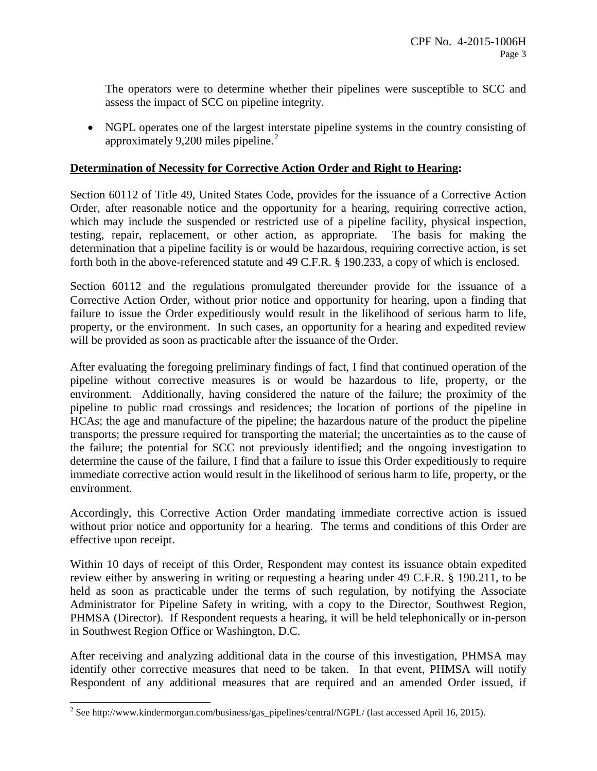The operators were to determine whether their pipelines were susceptible to SCC and assess the impact of SCC on pipeline integrity.

• NGPL operates one of the largest interstate pipeline systems in the country consisting of approximately 9,200 miles pipeline. $^{2}$ 

## **Determination of Necessity for Corrective Action Order and Right to Hearing:**

Section 60112 of Title 49, United States Code, provides for the issuance of a Corrective Action Order, after reasonable notice and the opportunity for a hearing, requiring corrective action, which may include the suspended or restricted use of a pipeline facility, physical inspection, testing, repair, replacement, or other action, as appropriate. The basis for making the determination that a pipeline facility is or would be hazardous, requiring corrective action, is set forth both in the above-referenced statute and 49 C.F.R. § 190.233, a copy of which is enclosed.

Section 60112 and the regulations promulgated thereunder provide for the issuance of a Corrective Action Order, without prior notice and opportunity for hearing, upon a finding that failure to issue the Order expeditiously would result in the likelihood of serious harm to life, property, or the environment. In such cases, an opportunity for a hearing and expedited review will be provided as soon as practicable after the issuance of the Order.

After evaluating the foregoing preliminary findings of fact, I find that continued operation of the pipeline without corrective measures is or would be hazardous to life, property, or the environment. Additionally, having considered the nature of the failure; the proximity of the pipeline to public road crossings and residences; the location of portions of the pipeline in HCAs; the age and manufacture of the pipeline; the hazardous nature of the product the pipeline transports; the pressure required for transporting the material; the uncertainties as to the cause of the failure; the potential for SCC not previously identified; and the ongoing investigation to determine the cause of the failure, I find that a failure to issue this Order expeditiously to require immediate corrective action would result in the likelihood of serious harm to life, property, or the environment.

Accordingly, this Corrective Action Order mandating immediate corrective action is issued without prior notice and opportunity for a hearing. The terms and conditions of this Order are effective upon receipt.

Within 10 days of receipt of this Order, Respondent may contest its issuance obtain expedited review either by answering in writing or requesting a hearing under 49 C.F.R. § 190.211, to be held as soon as practicable under the terms of such regulation, by notifying the Associate Administrator for Pipeline Safety in writing, with a copy to the Director, Southwest Region, PHMSA (Director). If Respondent requests a hearing, it will be held telephonically or in-person in Southwest Region Office or Washington, D.C.

After receiving and analyzing additional data in the course of this investigation, PHMSA may identify other corrective measures that need to be taken. In that event, PHMSA will notify Respondent of any additional measures that are required and an amended Order issued, if

 $\overline{a}$ 

 $2^{2}$  See http://www.kindermorgan.com/business/gas\_pipelines/central/NGPL/ (last accessed April 16, 2015).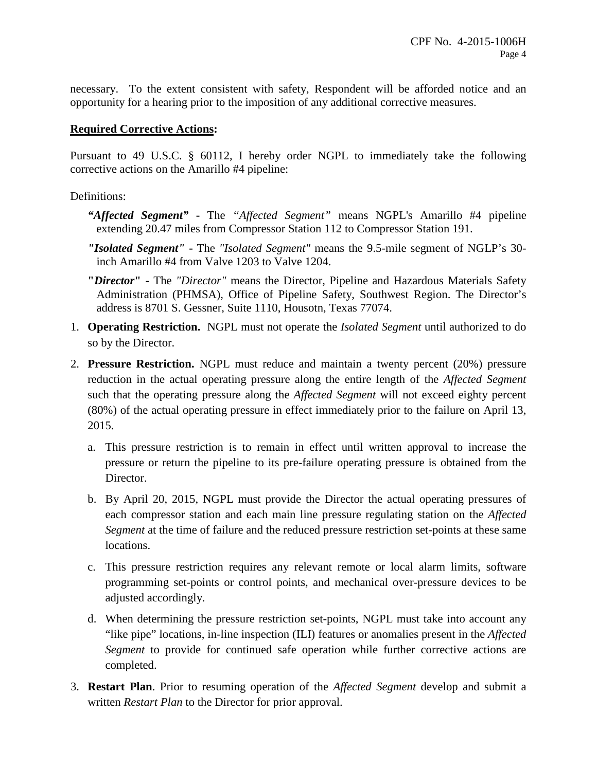necessary. To the extent consistent with safety, Respondent will be afforded notice and an opportunity for a hearing prior to the imposition of any additional corrective measures.

## **Required Corrective Actions:**

Pursuant to 49 U.S.C. § 60112, I hereby order NGPL to immediately take the following corrective actions on the Amarillo #4 pipeline:

## Definitions:

- *"Affected Segment"* **-** The *"Affected Segment"* means NGPL's Amarillo #4 pipeline extending 20.47 miles from Compressor Station 112 to Compressor Station 191.
- *"Isolated Segment"* The *"Isolated Segment"* means the 9.5-mile segment of NGLP's 30 inch Amarillo #4 from Valve 1203 to Valve 1204.
- **"***Director***"** The *"Director"* means the Director, Pipeline and Hazardous Materials Safety Administration (PHMSA), Office of Pipeline Safety, Southwest Region. The Director's address is 8701 S. Gessner, Suite 1110, Housotn, Texas 77074.
- 1. **Operating Restriction.** NGPL must not operate the *Isolated Segment* until authorized to do so by the Director.
- 2. **Pressure Restriction.** NGPL must reduce and maintain a twenty percent (20%) pressure reduction in the actual operating pressure along the entire length of the *Affected Segment* such that the operating pressure along the *Affected Segment* will not exceed eighty percent (80%) of the actual operating pressure in effect immediately prior to the failure on April 13, 2015.
	- a. This pressure restriction is to remain in effect until written approval to increase the pressure or return the pipeline to its pre-failure operating pressure is obtained from the Director.
	- b. By April 20, 2015, NGPL must provide the Director the actual operating pressures of each compressor station and each main line pressure regulating station on the *Affected Segment* at the time of failure and the reduced pressure restriction set-points at these same locations.
	- c. This pressure restriction requires any relevant remote or local alarm limits, software programming set-points or control points, and mechanical over-pressure devices to be adjusted accordingly.
	- d. When determining the pressure restriction set-points, NGPL must take into account any "like pipe" locations, in-line inspection (ILI) features or anomalies present in the *Affected Segment* to provide for continued safe operation while further corrective actions are completed.
- 3. **Restart Plan**. Prior to resuming operation of the *Affected Segment* develop and submit a written *Restart Plan* to the Director for prior approval.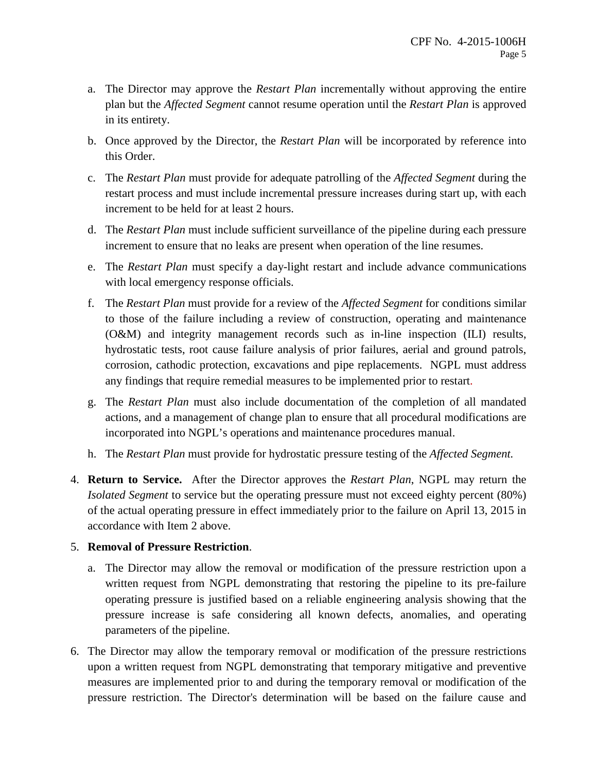- a. The Director may approve the *Restart Plan* incrementally without approving the entire plan but the *Affected Segment* cannot resume operation until the *Restart Plan* is approved in its entirety.
- b. Once approved by the Director, the *Restart Plan* will be incorporated by reference into this Order.
- c. The *Restart Plan* must provide for adequate patrolling of the *Affected Segment* during the restart process and must include incremental pressure increases during start up, with each increment to be held for at least 2 hours.
- d. The *Restart Plan* must include sufficient surveillance of the pipeline during each pressure increment to ensure that no leaks are present when operation of the line resumes.
- e. The *Restart Plan* must specify a day-light restart and include advance communications with local emergency response officials.
- f. The *Restart Plan* must provide for a review of the *Affected Segment* for conditions similar to those of the failure including a review of construction, operating and maintenance (O&M) and integrity management records such as in-line inspection (ILI) results, hydrostatic tests, root cause failure analysis of prior failures, aerial and ground patrols, corrosion, cathodic protection, excavations and pipe replacements. NGPL must address any findings that require remedial measures to be implemented prior to restart.
- g. The *Restart Plan* must also include documentation of the completion of all mandated actions, and a management of change plan to ensure that all procedural modifications are incorporated into NGPL's operations and maintenance procedures manual.
- h. The *Restart Plan* must provide for hydrostatic pressure testing of the *Affected Segment.*
- 4. **Return to Service.** After the Director approves the *Restart Plan*, NGPL may return the *Isolated Segment* to service but the operating pressure must not exceed eighty percent (80%) of the actual operating pressure in effect immediately prior to the failure on April 13, 2015 in accordance with Item 2 above.

## 5. **Removal of Pressure Restriction**.

- a. The Director may allow the removal or modification of the pressure restriction upon a written request from NGPL demonstrating that restoring the pipeline to its pre-failure operating pressure is justified based on a reliable engineering analysis showing that the pressure increase is safe considering all known defects, anomalies, and operating parameters of the pipeline.
- 6. The Director may allow the temporary removal or modification of the pressure restrictions upon a written request from NGPL demonstrating that temporary mitigative and preventive measures are implemented prior to and during the temporary removal or modification of the pressure restriction. The Director's determination will be based on the failure cause and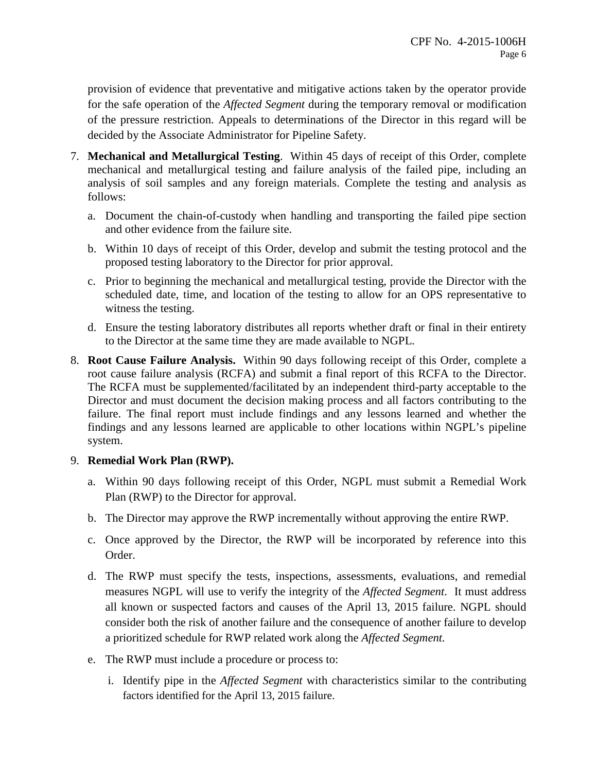provision of evidence that preventative and mitigative actions taken by the operator provide for the safe operation of the *Affected Segment* during the temporary removal or modification of the pressure restriction. Appeals to determinations of the Director in this regard will be decided by the Associate Administrator for Pipeline Safety.

- 7. **Mechanical and Metallurgical Testing**. Within 45 days of receipt of this Order, complete mechanical and metallurgical testing and failure analysis of the failed pipe, including an analysis of soil samples and any foreign materials. Complete the testing and analysis as follows:
	- a. Document the chain-of-custody when handling and transporting the failed pipe section and other evidence from the failure site.
	- b. Within 10 days of receipt of this Order, develop and submit the testing protocol and the proposed testing laboratory to the Director for prior approval.
	- c. Prior to beginning the mechanical and metallurgical testing, provide the Director with the scheduled date, time, and location of the testing to allow for an OPS representative to witness the testing.
	- d. Ensure the testing laboratory distributes all reports whether draft or final in their entirety to the Director at the same time they are made available to NGPL.
- 8. **Root Cause Failure Analysis.** Within 90 days following receipt of this Order, complete a root cause failure analysis (RCFA) and submit a final report of this RCFA to the Director. The RCFA must be supplemented/facilitated by an independent third-party acceptable to the Director and must document the decision making process and all factors contributing to the failure. The final report must include findings and any lessons learned and whether the findings and any lessons learned are applicable to other locations within NGPL's pipeline system.

## 9. **Remedial Work Plan (RWP).**

- a. Within 90 days following receipt of this Order, NGPL must submit a Remedial Work Plan (RWP) to the Director for approval.
- b. The Director may approve the RWP incrementally without approving the entire RWP.
- c. Once approved by the Director, the RWP will be incorporated by reference into this Order.
- d. The RWP must specify the tests, inspections, assessments, evaluations, and remedial measures NGPL will use to verify the integrity of the *Affected Segment*. It must address all known or suspected factors and causes of the April 13, 2015 failure. NGPL should consider both the risk of another failure and the consequence of another failure to develop a prioritized schedule for RWP related work along the *Affected Segment.*
- e. The RWP must include a procedure or process to:
	- i. Identify pipe in the *Affected Segment* with characteristics similar to the contributing factors identified for the April 13, 2015 failure.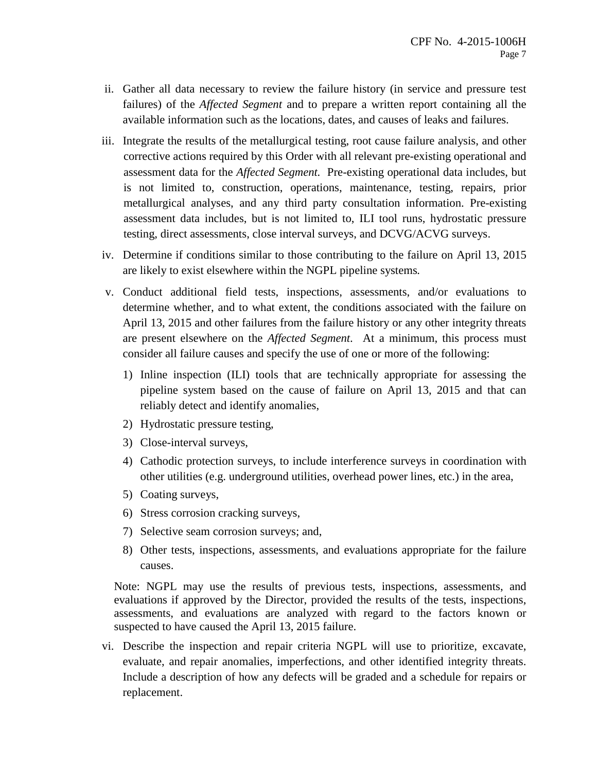- ii. Gather all data necessary to review the failure history (in service and pressure test failures) of the *Affected Segment* and to prepare a written report containing all the available information such as the locations, dates, and causes of leaks and failures.
- iii. Integrate the results of the metallurgical testing, root cause failure analysis, and other corrective actions required by this Order with all relevant pre-existing operational and assessment data for the *Affected Segment.* Pre-existing operational data includes, but is not limited to, construction, operations, maintenance, testing, repairs, prior metallurgical analyses, and any third party consultation information. Pre-existing assessment data includes, but is not limited to, ILI tool runs, hydrostatic pressure testing, direct assessments, close interval surveys, and DCVG/ACVG surveys.
- iv. Determine if conditions similar to those contributing to the failure on April 13, 2015 are likely to exist elsewhere within the NGPL pipeline systems*.*
- v. Conduct additional field tests, inspections, assessments, and/or evaluations to determine whether, and to what extent, the conditions associated with the failure on April 13, 2015 and other failures from the failure history or any other integrity threats are present elsewhere on the *Affected Segment*. At a minimum, this process must consider all failure causes and specify the use of one or more of the following:
	- 1) Inline inspection (ILI) tools that are technically appropriate for assessing the pipeline system based on the cause of failure on April 13, 2015 and that can reliably detect and identify anomalies,
	- 2) Hydrostatic pressure testing,
	- 3) Close-interval surveys,
	- 4) Cathodic protection surveys, to include interference surveys in coordination with other utilities (e.g. underground utilities, overhead power lines, etc.) in the area,
	- 5) Coating surveys,
	- 6) Stress corrosion cracking surveys,
	- 7) Selective seam corrosion surveys; and,
	- 8) Other tests, inspections, assessments, and evaluations appropriate for the failure causes.

Note: NGPL may use the results of previous tests, inspections, assessments, and evaluations if approved by the Director, provided the results of the tests, inspections, assessments, and evaluations are analyzed with regard to the factors known or suspected to have caused the April 13, 2015 failure.

vi. Describe the inspection and repair criteria NGPL will use to prioritize, excavate, evaluate, and repair anomalies, imperfections, and other identified integrity threats. Include a description of how any defects will be graded and a schedule for repairs or replacement.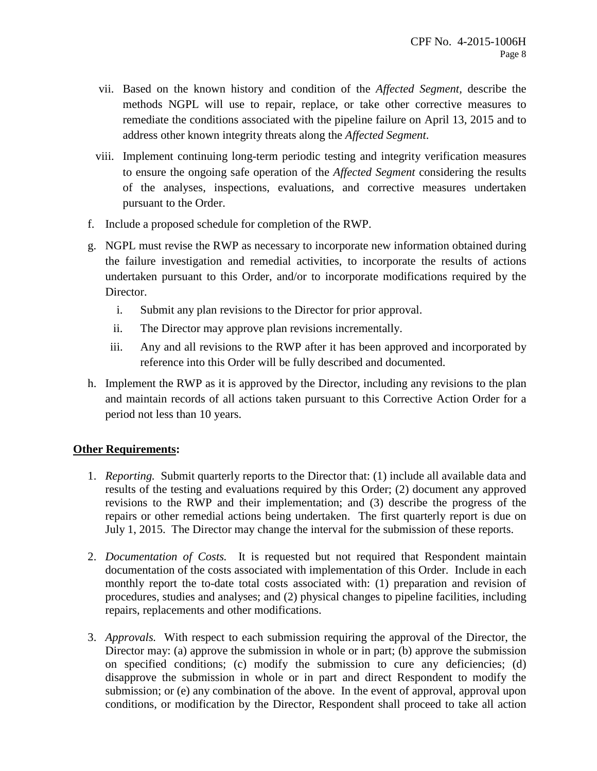- vii. Based on the known history and condition of the *Affected Segment,* describe the methods NGPL will use to repair, replace, or take other corrective measures to remediate the conditions associated with the pipeline failure on April 13, 2015 and to address other known integrity threats along the *Affected Segment*.
- viii. Implement continuing long-term periodic testing and integrity verification measures to ensure the ongoing safe operation of the *Affected Segment* considering the results of the analyses, inspections, evaluations, and corrective measures undertaken pursuant to the Order.
- f. Include a proposed schedule for completion of the RWP.
- g. NGPL must revise the RWP as necessary to incorporate new information obtained during the failure investigation and remedial activities, to incorporate the results of actions undertaken pursuant to this Order, and/or to incorporate modifications required by the Director.
	- i. Submit any plan revisions to the Director for prior approval.
	- ii. The Director may approve plan revisions incrementally.
	- iii. Any and all revisions to the RWP after it has been approved and incorporated by reference into this Order will be fully described and documented.
- h. Implement the RWP as it is approved by the Director, including any revisions to the plan and maintain records of all actions taken pursuant to this Corrective Action Order for a period not less than 10 years.

## **Other Requirements:**

- 1. *Reporting.* Submit quarterly reports to the Director that: (1) include all available data and results of the testing and evaluations required by this Order; (2) document any approved revisions to the RWP and their implementation; and (3) describe the progress of the repairs or other remedial actions being undertaken. The first quarterly report is due on July 1, 2015. The Director may change the interval for the submission of these reports.
- 2. *Documentation of Costs.* It is requested but not required that Respondent maintain documentation of the costs associated with implementation of this Order. Include in each monthly report the to-date total costs associated with: (1) preparation and revision of procedures, studies and analyses; and (2) physical changes to pipeline facilities, including repairs, replacements and other modifications.
- 3. *Approvals.* With respect to each submission requiring the approval of the Director, the Director may: (a) approve the submission in whole or in part; (b) approve the submission on specified conditions; (c) modify the submission to cure any deficiencies; (d) disapprove the submission in whole or in part and direct Respondent to modify the submission; or (e) any combination of the above. In the event of approval, approval upon conditions, or modification by the Director, Respondent shall proceed to take all action